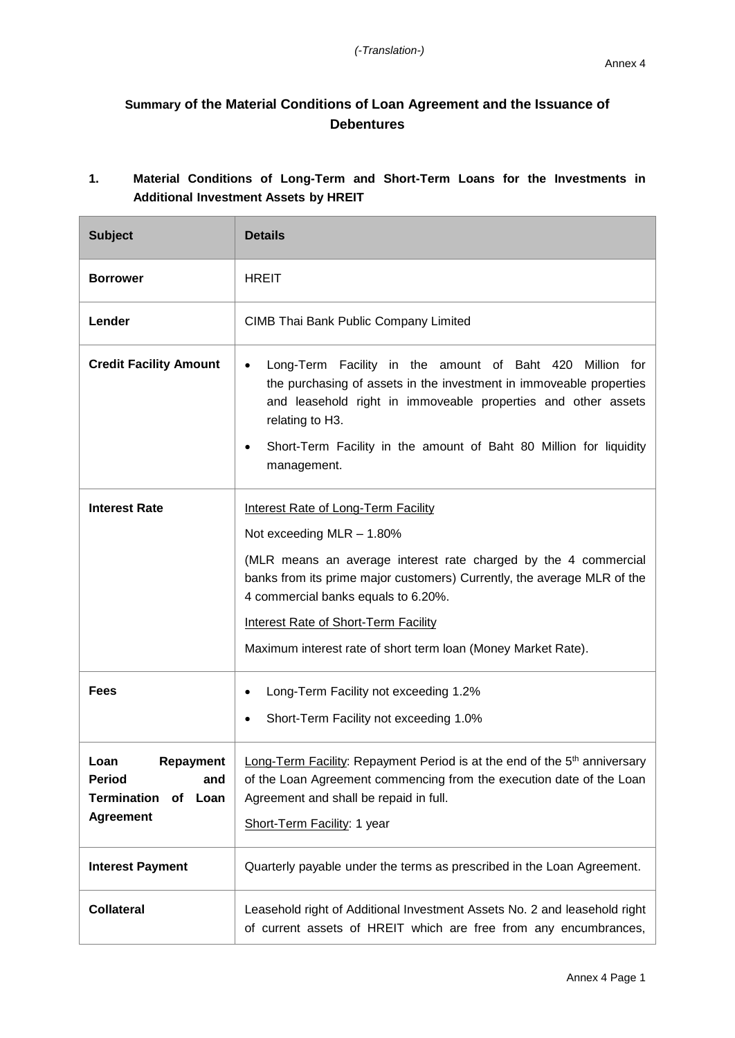## **Summary of the Material Conditions of Loan Agreement and the Issuance of Debentures**

|  |  |                                              |  |  | Material Conditions of Long-Term and Short-Term Loans for the Investments in |  |
|--|--|----------------------------------------------|--|--|------------------------------------------------------------------------------|--|
|  |  | <b>Additional Investment Assets by HREIT</b> |  |  |                                                                              |  |

| <b>Subject</b>                                                                                 | <b>Details</b>                                                                                                                                                                                                                                                                                                                                                               |
|------------------------------------------------------------------------------------------------|------------------------------------------------------------------------------------------------------------------------------------------------------------------------------------------------------------------------------------------------------------------------------------------------------------------------------------------------------------------------------|
| <b>Borrower</b>                                                                                | <b>HREIT</b>                                                                                                                                                                                                                                                                                                                                                                 |
| Lender                                                                                         | <b>CIMB Thai Bank Public Company Limited</b>                                                                                                                                                                                                                                                                                                                                 |
| <b>Credit Facility Amount</b>                                                                  | Long-Term Facility in the amount of Baht 420 Million for<br>$\bullet$<br>the purchasing of assets in the investment in immoveable properties<br>and leasehold right in immoveable properties and other assets<br>relating to H3.<br>Short-Term Facility in the amount of Baht 80 Million for liquidity<br>management.                                                        |
| <b>Interest Rate</b>                                                                           | <b>Interest Rate of Long-Term Facility</b><br>Not exceeding MLR - 1.80%<br>(MLR means an average interest rate charged by the 4 commercial<br>banks from its prime major customers) Currently, the average MLR of the<br>4 commercial banks equals to 6.20%.<br><b>Interest Rate of Short-Term Facility</b><br>Maximum interest rate of short term loan (Money Market Rate). |
| <b>Fees</b>                                                                                    | Long-Term Facility not exceeding 1.2%<br>٠<br>Short-Term Facility not exceeding 1.0%                                                                                                                                                                                                                                                                                         |
| Repayment<br>Loan<br><b>Period</b><br>and<br><b>Termination of</b><br>Loan<br><b>Agreement</b> | Long-Term Facility: Repayment Period is at the end of the 5 <sup>th</sup> anniversary<br>of the Loan Agreement commencing from the execution date of the Loan<br>Agreement and shall be repaid in full.<br>Short-Term Facility: 1 year                                                                                                                                       |
| <b>Interest Payment</b>                                                                        | Quarterly payable under the terms as prescribed in the Loan Agreement.                                                                                                                                                                                                                                                                                                       |
| <b>Collateral</b>                                                                              | Leasehold right of Additional Investment Assets No. 2 and leasehold right<br>of current assets of HREIT which are free from any encumbrances,                                                                                                                                                                                                                                |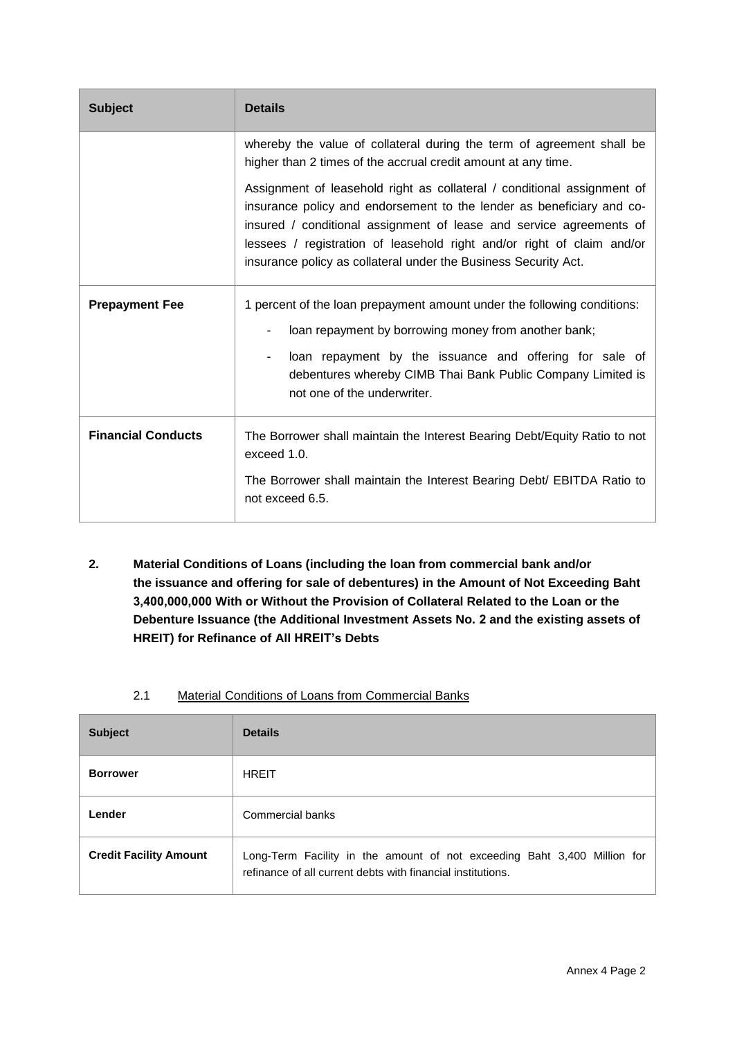| <b>Subject</b>            | <b>Details</b>                                                                                                                                                                                                                                                                                                                                                       |
|---------------------------|----------------------------------------------------------------------------------------------------------------------------------------------------------------------------------------------------------------------------------------------------------------------------------------------------------------------------------------------------------------------|
|                           | whereby the value of collateral during the term of agreement shall be<br>higher than 2 times of the accrual credit amount at any time.                                                                                                                                                                                                                               |
|                           | Assignment of leasehold right as collateral / conditional assignment of<br>insurance policy and endorsement to the lender as beneficiary and co-<br>insured / conditional assignment of lease and service agreements of<br>lessees / registration of leasehold right and/or right of claim and/or<br>insurance policy as collateral under the Business Security Act. |
| <b>Prepayment Fee</b>     | 1 percent of the loan prepayment amount under the following conditions:                                                                                                                                                                                                                                                                                              |
|                           | loan repayment by borrowing money from another bank;                                                                                                                                                                                                                                                                                                                 |
|                           | loan repayment by the issuance and offering for sale of<br>debentures whereby CIMB Thai Bank Public Company Limited is<br>not one of the underwriter.                                                                                                                                                                                                                |
| <b>Financial Conducts</b> | The Borrower shall maintain the Interest Bearing Debt/Equity Ratio to not<br>exceed 1.0.                                                                                                                                                                                                                                                                             |
|                           | The Borrower shall maintain the Interest Bearing Debt/ EBITDA Ratio to<br>not exceed 6.5.                                                                                                                                                                                                                                                                            |

**2. Material Conditions of Loans (including the loan from commercial bank and/or the issuance and offering for sale of debentures) in the Amount of Not Exceeding Baht 3,400,000,000 With or Without the Provision of Collateral Related to the Loan or the Debenture Issuance (the Additional Investment Assets No. 2 and the existing assets of HREIT) for Refinance of All HREIT's Debts**

| <b>Subject</b>                | <b>Details</b>                                                                                                                          |
|-------------------------------|-----------------------------------------------------------------------------------------------------------------------------------------|
| <b>Borrower</b>               | <b>HREIT</b>                                                                                                                            |
| Lender                        | Commercial banks                                                                                                                        |
| <b>Credit Facility Amount</b> | Long-Term Facility in the amount of not exceeding Baht 3,400 Million for<br>refinance of all current debts with financial institutions. |

2.1 Material Conditions of Loans from Commercial Banks